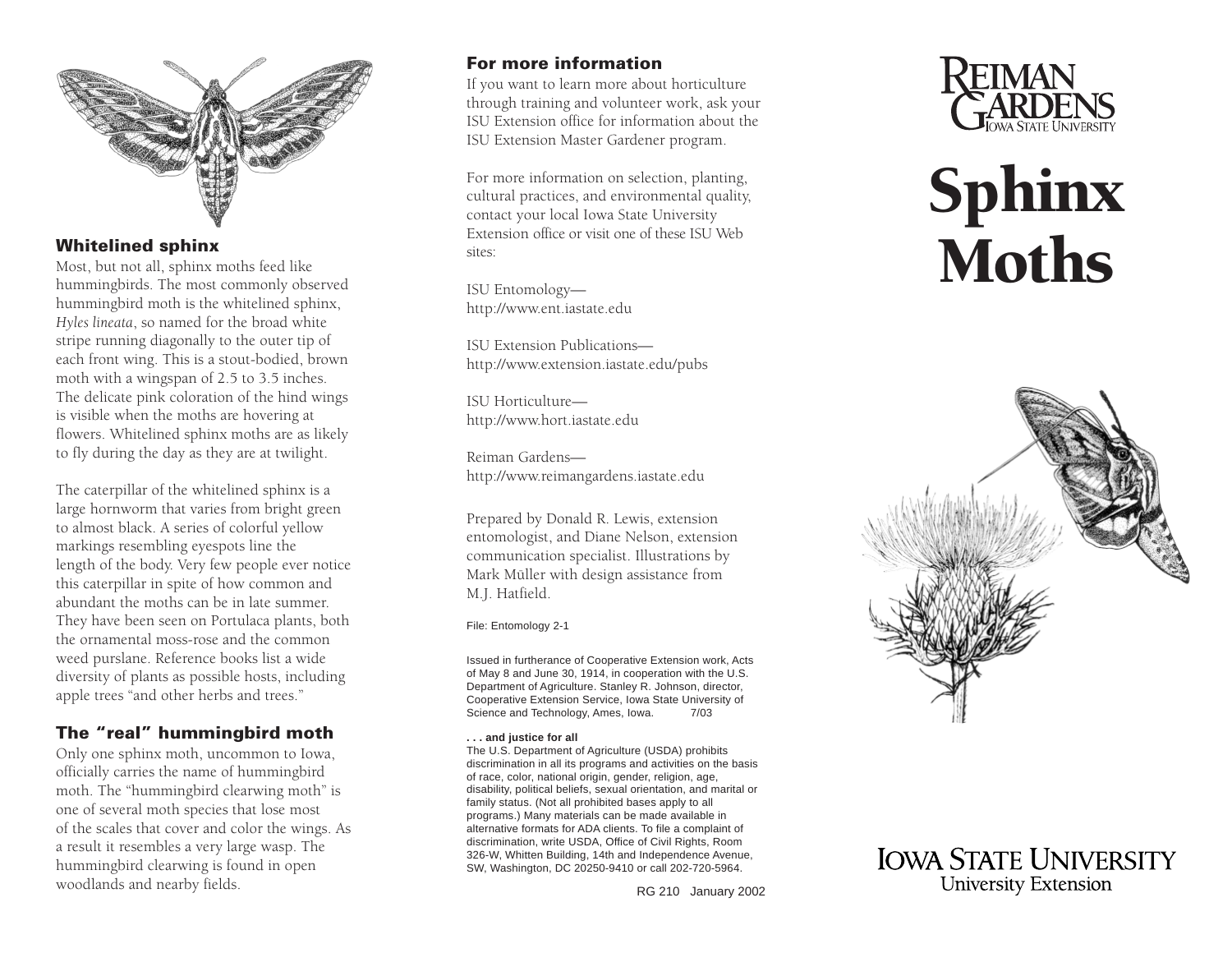

## **Whitelined sphinx**

Most, but not all, sphinx moths feed like hummingbirds. The most commonly observed hummingbird moth is the whitelined sphinx, *Hyles lineata*, so named for the broad white stripe running diagonally to the outer tip of each front wing. This is a stout-bodied, brown moth with a wingspan of 2.5 to 3.5 inches. The delicate pink coloration of the hind wings is visible when the moths are hovering at flowers. Whitelined sphinx moths are as likely to fly during the day as they are at twilight.

The caterpillar of the whitelined sphinx is a large hornworm that varies from bright green to almost black. A series of colorful yellow markings resembling eyespots line the length of the body. Very few people ever notice this caterpillar in spite of how common and abundant the moths can be in late summer. They have been seen on Portulaca plants, both the ornamental moss-rose and the common weed purslane. Reference books list a wide diversity of plants as possible hosts, including apple trees "and other herbs and trees."

## **The "real" hummingbird moth**

Only one sphinx moth, uncommon to Iowa, officially carries the name of hummingbird moth. The "hummingbird clearwing moth" is one of several moth species that lose most of the scales that cover and color the wings. As a result it resembles a very large wasp. The hummingbird clearwing is found in open woodlands and nearby fields.

## **For more information**

If you want to learn more about horticulture through training and volunteer work, ask your ISU Extension office for information about the ISU Extension Master Gardener program.

For more information on selection, planting, cultural practices, and environmental quality, contact your local Iowa State University Extension office or visit one of these ISU Web sites:

ISU Entomology <http://www.ent.iastate.edu>

ISU Extension Publications <http://www.extension.iastate.edu/pubs>

ISU Horticulture <http://www.hort.iastate.edu>

Reiman Gardens <http://www.reimangardens.iastate.edu>

Prepared by Donald R. Lewis, extension entomologist, and Diane Nelson, extension communication specialist. Illustrations by Mark Müller with design assistance from M.J. Hatfield.

File: Entomology 2-1

Issued in furtherance of Cooperative Extension work, Acts of May 8 and June 30, 1914, in cooperation with the U.S. Department of Agriculture. Stanley R. Johnson, director, Cooperative Extension Service, Iowa State University of Science and Technology, Ames, Iowa. 7/03

#### **. . . and justice for all**

The U.S. Department of Agriculture (USDA) prohibits discrimination in all its programs and activities on the basis of race, color, national origin, gender, religion, age, disability, political beliefs, sexual orientation, and marital or family status. (Not all prohibited bases apply to all programs.) Many materials can be made available in alternative formats for ADA clients. To file a complaint of discrimination, write USDA, Office of Civil Rights, Room 326-W, Whitten Building, 14th and Independence Avenue, SW, Washington, DC 20250-9410 or call 202-720-5964.





# Sphinx Moths



**IOWA STATE UNIVERSITY University Extension**